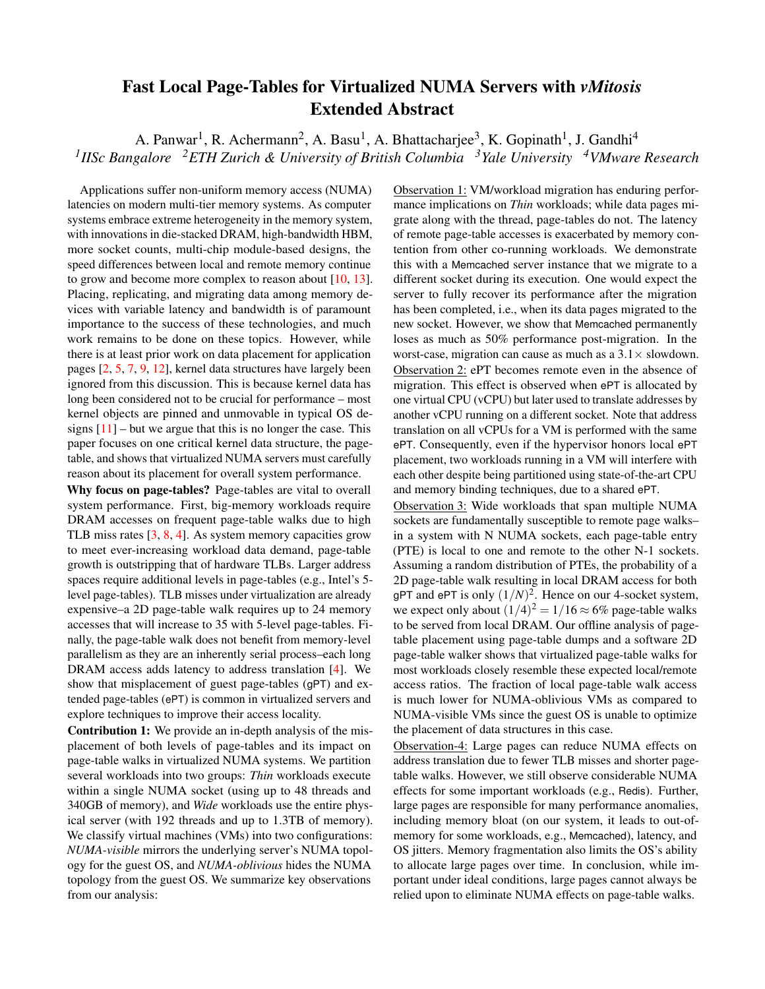## Fast Local Page-Tables for Virtualized NUMA Servers with *vMitosis* Extended Abstract

A. Panwar<sup>1</sup>, R. Achermann<sup>2</sup>, A. Basu<sup>1</sup>, A. Bhattacharjee<sup>3</sup>, K. Gopinath<sup>1</sup>, J. Gandhi<sup>4</sup> *1 IISc Bangalore <sup>2</sup>ETH Zurich & University of British Columbia <sup>3</sup>Yale University <sup>4</sup>VMware Research*

Applications suffer non-uniform memory access (NUMA) latencies on modern multi-tier memory systems. As computer systems embrace extreme heterogeneity in the memory system, with innovations in die-stacked DRAM, high-bandwidth HBM, more socket counts, multi-chip module-based designs, the speed differences between local and remote memory continue to grow and become more complex to reason about [\[10,](#page-2-0) [13\]](#page-2-1). Placing, replicating, and migrating data among memory devices with variable latency and bandwidth is of paramount importance to the success of these technologies, and much work remains to be done on these topics. However, while there is at least prior work on data placement for application pages [\[2,](#page-2-2) [5,](#page-2-3) [7,](#page-2-4) [9,](#page-2-5) [12\]](#page-2-6), kernel data structures have largely been ignored from this discussion. This is because kernel data has long been considered not to be crucial for performance – most kernel objects are pinned and unmovable in typical OS designs  $[11]$  – but we argue that this is no longer the case. This paper focuses on one critical kernel data structure, the pagetable, and shows that virtualized NUMA servers must carefully reason about its placement for overall system performance.

Why focus on page-tables? Page-tables are vital to overall system performance. First, big-memory workloads require DRAM accesses on frequent page-table walks due to high TLB miss rates [\[3,](#page-2-8) [8,](#page-2-9) [4\]](#page-2-10). As system memory capacities grow to meet ever-increasing workload data demand, page-table growth is outstripping that of hardware TLBs. Larger address spaces require additional levels in page-tables (e.g., Intel's 5 level page-tables). TLB misses under virtualization are already expensive–a 2D page-table walk requires up to 24 memory accesses that will increase to 35 with 5-level page-tables. Finally, the page-table walk does not benefit from memory-level parallelism as they are an inherently serial process–each long DRAM access adds latency to address translation [\[4\]](#page-2-10). We show that misplacement of guest page-tables (gPT) and extended page-tables (ePT) is common in virtualized servers and explore techniques to improve their access locality.

Contribution 1: We provide an in-depth analysis of the misplacement of both levels of page-tables and its impact on page-table walks in virtualized NUMA systems. We partition several workloads into two groups: *Thin* workloads execute within a single NUMA socket (using up to 48 threads and 340GB of memory), and *Wide* workloads use the entire physical server (with 192 threads and up to 1.3TB of memory). We classify virtual machines (VMs) into two configurations: *NUMA-visible* mirrors the underlying server's NUMA topology for the guest OS, and *NUMA-oblivious* hides the NUMA topology from the guest OS. We summarize key observations from our analysis:

Observation 1: VM/workload migration has enduring performance implications on *Thin* workloads; while data pages migrate along with the thread, page-tables do not. The latency of remote page-table accesses is exacerbated by memory contention from other co-running workloads. We demonstrate this with a Memcached server instance that we migrate to a different socket during its execution. One would expect the server to fully recover its performance after the migration has been completed, i.e., when its data pages migrated to the new socket. However, we show that Memcached permanently loses as much as 50% performance post-migration. In the worst-case, migration can cause as much as a  $3.1 \times$  slowdown. Observation 2: ePT becomes remote even in the absence of migration. This effect is observed when ePT is allocated by one virtual CPU (vCPU) but later used to translate addresses by another vCPU running on a different socket. Note that address translation on all vCPUs for a VM is performed with the same ePT. Consequently, even if the hypervisor honors local ePT placement, two workloads running in a VM will interfere with each other despite being partitioned using state-of-the-art CPU and memory binding techniques, due to a shared ePT.

Observation 3: Wide workloads that span multiple NUMA sockets are fundamentally susceptible to remote page walks– in a system with N NUMA sockets, each page-table entry (PTE) is local to one and remote to the other N-1 sockets. Assuming a random distribution of PTEs, the probability of a 2D page-table walk resulting in local DRAM access for both gPT and ePT is only  $(1/N)^2$ . Hence on our 4-socket system, we expect only about  $(1/4)^2 = 1/16 \approx 6\%$  page-table walks to be served from local DRAM. Our offline analysis of pagetable placement using page-table dumps and a software 2D page-table walker shows that virtualized page-table walks for most workloads closely resemble these expected local/remote access ratios. The fraction of local page-table walk access is much lower for NUMA-oblivious VMs as compared to NUMA-visible VMs since the guest OS is unable to optimize the placement of data structures in this case.

Observation-4: Large pages can reduce NUMA effects on address translation due to fewer TLB misses and shorter pagetable walks. However, we still observe considerable NUMA effects for some important workloads (e.g., Redis). Further, large pages are responsible for many performance anomalies, including memory bloat (on our system, it leads to out-ofmemory for some workloads, e.g., Memcached), latency, and OS jitters. Memory fragmentation also limits the OS's ability to allocate large pages over time. In conclusion, while important under ideal conditions, large pages cannot always be relied upon to eliminate NUMA effects on page-table walks.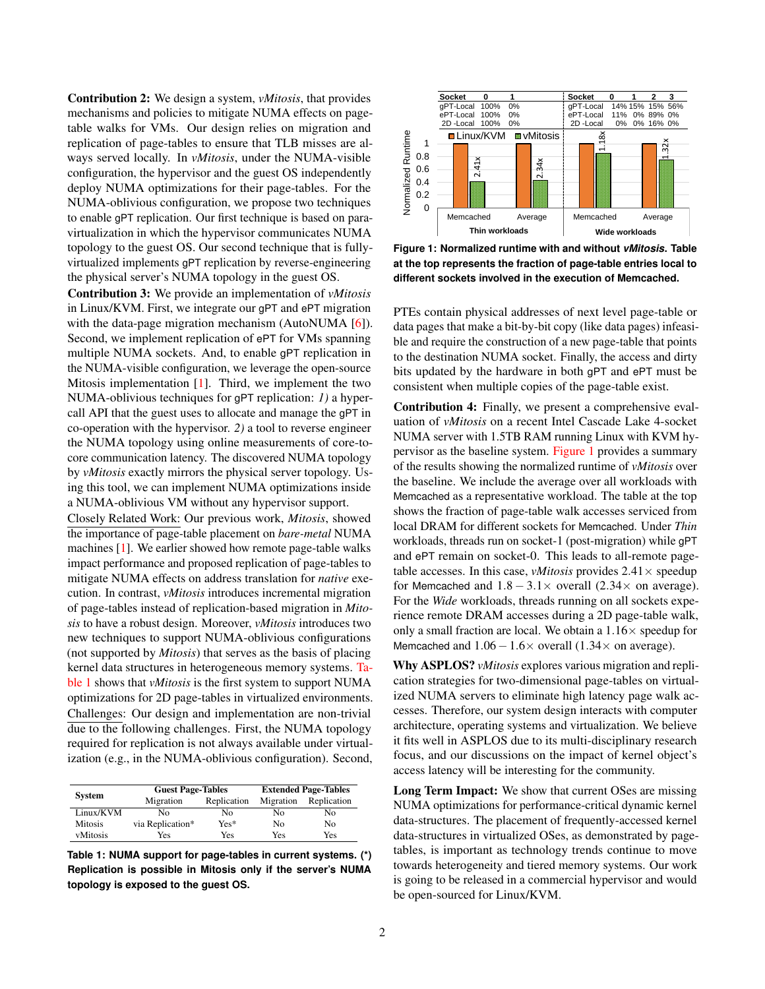Contribution 2: We design a system, *vMitosis*, that provides mechanisms and policies to mitigate NUMA effects on pagetable walks for VMs. Our design relies on migration and replication of page-tables to ensure that TLB misses are always served locally. In *vMitosis*, under the NUMA-visible configuration, the hypervisor and the guest OS independently deploy NUMA optimizations for their page-tables. For the NUMA-oblivious configuration, we propose two techniques to enable gPT replication. Our first technique is based on paravirtualization in which the hypervisor communicates NUMA topology to the guest OS. Our second technique that is fullyvirtualized implements gPT replication by reverse-engineering the physical server's NUMA topology in the guest OS.

Contribution 3: We provide an implementation of *vMitosis* in Linux/KVM. First, we integrate our gPT and ePT migration with the data-page migration mechanism (AutoNUMA [\[6\]](#page-2-11)). Second, we implement replication of ePT for VMs spanning multiple NUMA sockets. And, to enable gPT replication in the NUMA-visible configuration, we leverage the open-source Mitosis implementation [\[1\]](#page-2-12). Third, we implement the two NUMA-oblivious techniques for gPT replication: *1)* a hypercall API that the guest uses to allocate and manage the gPT in co-operation with the hypervisor. *2)* a tool to reverse engineer the NUMA topology using online measurements of core-tocore communication latency. The discovered NUMA topology by *vMitosis* exactly mirrors the physical server topology. Using this tool, we can implement NUMA optimizations inside a NUMA-oblivious VM without any hypervisor support.

Closely Related Work: Our previous work, *Mitosis*, showed the importance of page-table placement on *bare-metal* NUMA machines [\[1\]](#page-2-12). We earlier showed how remote page-table walks impact performance and proposed replication of page-tables to mitigate NUMA effects on address translation for *native* execution. In contrast, *vMitosis* introduces incremental migration of page-tables instead of replication-based migration in *Mitosis* to have a robust design. Moreover, *vMitosis* introduces two new techniques to support NUMA-oblivious configurations (not supported by *Mitosis*) that serves as the basis of placing kernel data structures in heterogeneous memory systems. [Ta](#page-1-0)[ble 1](#page-1-0) shows that *vMitosis* is the first system to support NUMA optimizations for 2D page-tables in virtualized environments. Challenges: Our design and implementation are non-trivial due to the following challenges. First, the NUMA topology required for replication is not always available under virtualization (e.g., in the NUMA-oblivious configuration). Second,

<span id="page-1-0"></span>

| <b>System</b>  | <b>Guest Page-Tables</b> |             | <b>Extended Page-Tables</b> |             |
|----------------|--------------------------|-------------|-----------------------------|-------------|
|                | Migration                | Replication | Migration                   | Replication |
| Linux/KVM      | Nο                       | Nο          | No                          | No          |
| <b>Mitosis</b> | via Replication*         | Yes*        | No                          | No          |
| vMitosis       | Yes                      | Yes         | Yes                         | Yes         |

**Table 1: NUMA support for page-tables in current systems. (\*) Replication is possible in Mitosis only if the server's NUMA topology is exposed to the guest OS.**

<span id="page-1-1"></span>

**Figure 1: Normalized runtime with and without** *vMitosis***. Table at the top represents the fraction of page-table entries local to different sockets involved in the execution of Memcached.**

PTEs contain physical addresses of next level page-table or data pages that make a bit-by-bit copy (like data pages) infeasible and require the construction of a new page-table that points to the destination NUMA socket. Finally, the access and dirty bits updated by the hardware in both gPT and ePT must be consistent when multiple copies of the page-table exist.

Contribution 4: Finally, we present a comprehensive evaluation of *vMitosis* on a recent Intel Cascade Lake 4-socket NUMA server with 1.5TB RAM running Linux with KVM hypervisor as the baseline system. [Figure 1](#page-1-1) provides a summary of the results showing the normalized runtime of *vMitosis* over the baseline. We include the average over all workloads with Memcached as a representative workload. The table at the top shows the fraction of page-table walk accesses serviced from local DRAM for different sockets for Memcached. Under *Thin* workloads, threads run on socket-1 (post-migration) while gPT and ePT remain on socket-0. This leads to all-remote pagetable accesses. In this case, *vMitosis* provides  $2.41 \times$  speedup for Memcached and  $1.8 - 3.1 \times$  overall (2.34 $\times$  on average). For the *Wide* workloads, threads running on all sockets experience remote DRAM accesses during a 2D page-table walk, only a small fraction are local. We obtain a  $1.16\times$  speedup for Memcached and  $1.06-1.6\times$  overall (1.34 $\times$  on average).

Why ASPLOS? *vMitosis* explores various migration and replication strategies for two-dimensional page-tables on virtualized NUMA servers to eliminate high latency page walk accesses. Therefore, our system design interacts with computer architecture, operating systems and virtualization. We believe it fits well in ASPLOS due to its multi-disciplinary research focus, and our discussions on the impact of kernel object's access latency will be interesting for the community.

Long Term Impact: We show that current OSes are missing NUMA optimizations for performance-critical dynamic kernel data-structures. The placement of frequently-accessed kernel data-structures in virtualized OSes, as demonstrated by pagetables, is important as technology trends continue to move towards heterogeneity and tiered memory systems. Our work is going to be released in a commercial hypervisor and would be open-sourced for Linux/KVM.